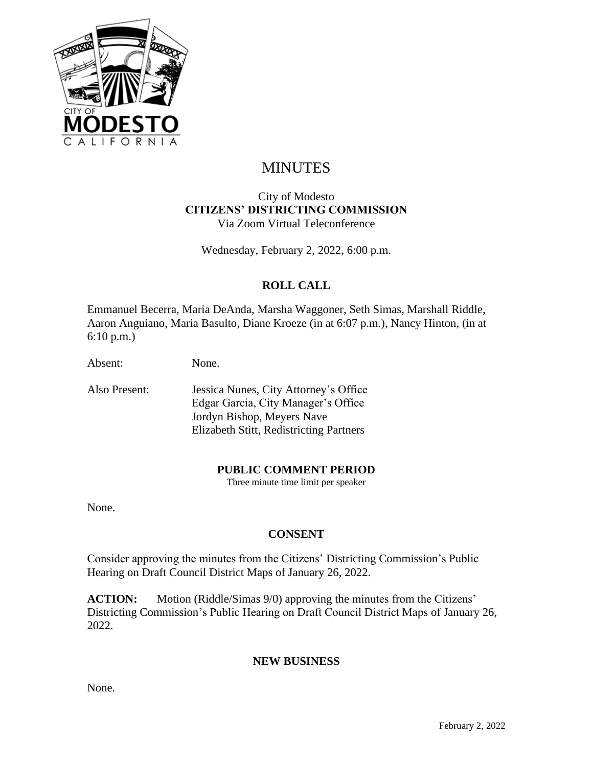

# MINUTES

#### City of Modesto **CITIZENS' DISTRICTING COMMISSION** Via Zoom Virtual Teleconference

Wednesday, February 2, 2022, 6:00 p.m.

# **ROLL CALL**

Emmanuel Becerra, Maria DeAnda, Marsha Waggoner, Seth Simas, Marshall Riddle, Aaron Anguiano, Maria Basulto, Diane Kroeze (in at 6:07 p.m.), Nancy Hinton, (in at 6:10 p.m.)

Absent: None.

Also Present: Jessica Nunes, City Attorney's Office Edgar Garcia, City Manager's Office Jordyn Bishop, Meyers Nave Elizabeth Stitt, Redistricting Partners

#### **PUBLIC COMMENT PERIOD**

Three minute time limit per speaker

None.

## **CONSENT**

Consider approving the minutes from the Citizens' Districting Commission's Public Hearing on Draft Council District Maps of January 26, 2022.

**ACTION:** Motion (Riddle/Simas 9/0) approving the minutes from the Citizens' Districting Commission's Public Hearing on Draft Council District Maps of January 26, 2022.

#### **NEW BUSINESS**

None.